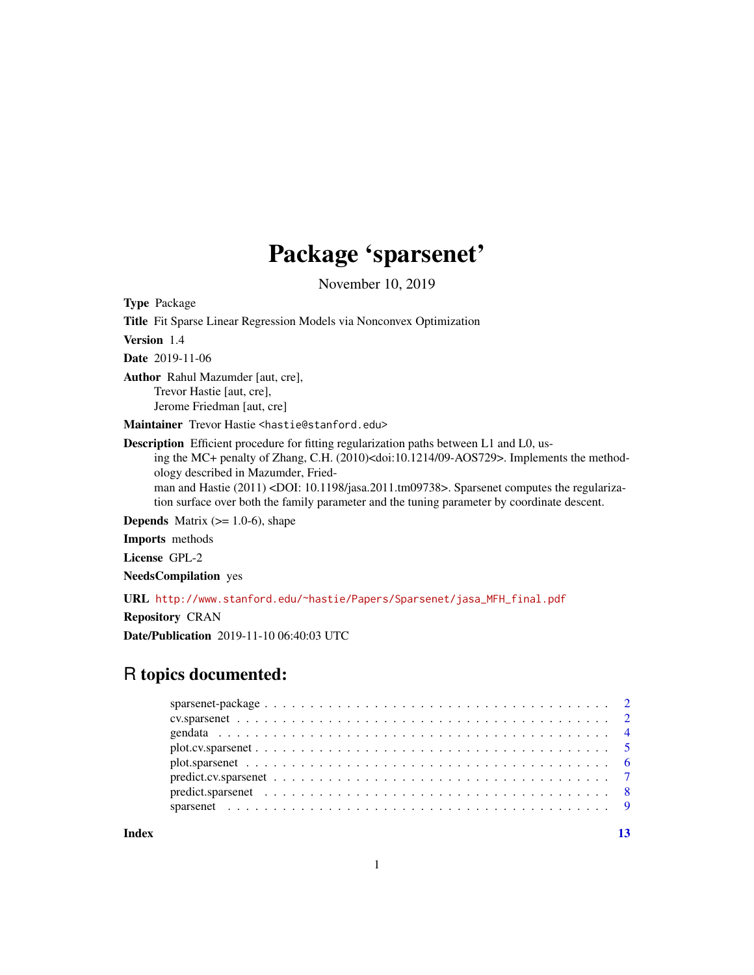## Package 'sparsenet'

November 10, 2019

Type Package

Title Fit Sparse Linear Regression Models via Nonconvex Optimization

Version 1.4

Date 2019-11-06

Author Rahul Mazumder [aut, cre], Trevor Hastie [aut, cre], Jerome Friedman [aut, cre]

Maintainer Trevor Hastie <hastie@stanford.edu>

Description Efficient procedure for fitting regularization paths between L1 and L0, using the MC+ penalty of Zhang, C.H. (2010)<doi:10.1214/09-AOS729>. Implements the methodology described in Mazumder, Friedman and Hastie (2011) <DOI: 10.1198/jasa.2011.tm09738>. Sparsenet computes the regularization surface over both the family parameter and the tuning parameter by coordinate descent.

**Depends** Matrix  $(>= 1.0-6)$ , shape

Imports methods

License GPL-2

NeedsCompilation yes

URL [http://www.stanford.edu/~hastie/Papers/Sparsenet/jasa\\_MFH\\_final.pdf](http://www.stanford.edu/~hastie/Papers/Sparsenet/jasa_MFH_final.pdf)

Repository CRAN

Date/Publication 2019-11-10 06:40:03 UTC

## R topics documented:

**Index** [13](#page-12-0)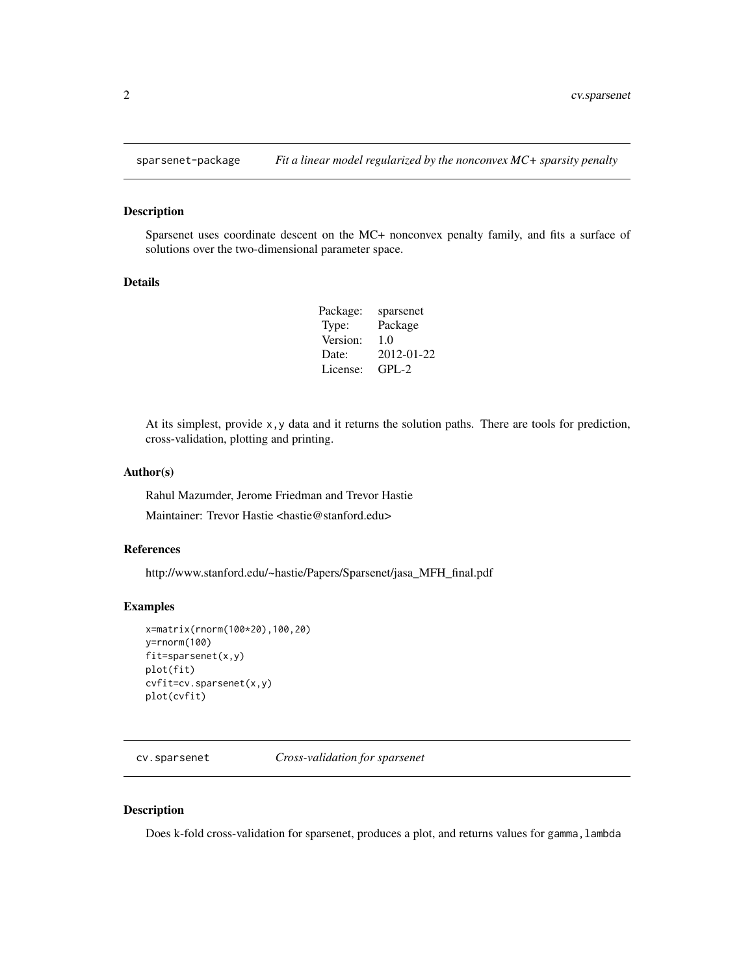<span id="page-1-0"></span>

#### Description

Sparsenet uses coordinate descent on the MC+ nonconvex penalty family, and fits a surface of solutions over the two-dimensional parameter space.

#### Details

| Package: | sparsenet  |
|----------|------------|
| Type:    | Package    |
| Version: | 1.0        |
| Date:    | 2012-01-22 |
| License: | $GPI - 2$  |

At its simplest, provide x,y data and it returns the solution paths. There are tools for prediction, cross-validation, plotting and printing.

#### Author(s)

Rahul Mazumder, Jerome Friedman and Trevor Hastie

Maintainer: Trevor Hastie <hastie@stanford.edu>

#### References

http://www.stanford.edu/~hastie/Papers/Sparsenet/jasa\_MFH\_final.pdf

## Examples

```
x=matrix(rnorm(100*20),100,20)
y=rnorm(100)
fit=sparsenet(x,y)
plot(fit)
cvfit=cv.sparsenet(x,y)
plot(cvfit)
```
cv.sparsenet *Cross-validation for sparsenet*

## Description

Does k-fold cross-validation for sparsenet, produces a plot, and returns values for gamma, lambda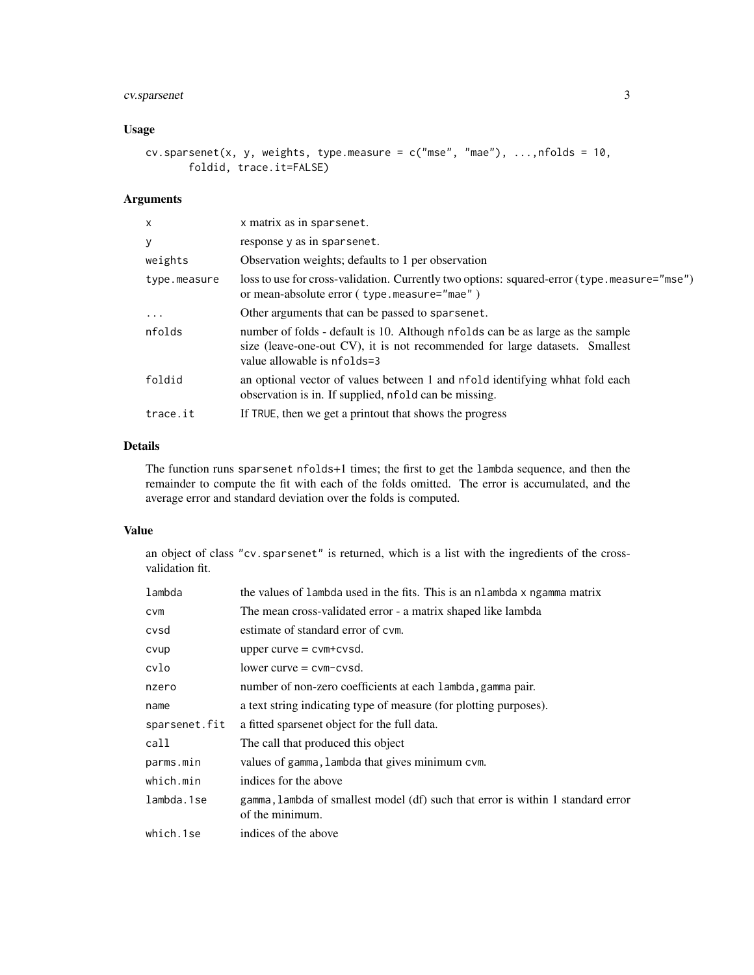## cv.sparsenet 3

## Usage

```
cv.sparsenet(x, y, weights, type.measure = c("mse", "mae"), ..., nfolds = 10,foldid, trace.it=FALSE)
```
## Arguments

| $\mathsf{x}$ | x matrix as in sparsenet.                                                                                                                                                                    |
|--------------|----------------------------------------------------------------------------------------------------------------------------------------------------------------------------------------------|
| y            | response y as in sparsenet.                                                                                                                                                                  |
| weights      | Observation weights; defaults to 1 per observation                                                                                                                                           |
| type.measure | loss to use for cross-validation. Currently two options: squared-error (type . measure="mse")<br>or mean-absolute error (type.measure="mae")                                                 |
| $\cdot$      | Other arguments that can be passed to sparsenet.                                                                                                                                             |
| nfolds       | number of folds - default is 10. Although nfolds can be as large as the sample<br>size (leave-one-out CV), it is not recommended for large datasets. Smallest<br>value allowable is nfolds=3 |
| foldid       | an optional vector of values between 1 and nfold identifying when fold each<br>observation is in. If supplied, nfold can be missing.                                                         |
| trace.it     | If TRUE, then we get a printout that shows the progress                                                                                                                                      |
|              |                                                                                                                                                                                              |

## Details

The function runs sparsenet nfolds+1 times; the first to get the lambda sequence, and then the remainder to compute the fit with each of the folds omitted. The error is accumulated, and the average error and standard deviation over the folds is computed.

## Value

an object of class "cv.sparsenet" is returned, which is a list with the ingredients of the crossvalidation fit.

| lambda        | the values of lambda used in the fits. This is an nlambda x ngamma matrix                          |  |
|---------------|----------------------------------------------------------------------------------------------------|--|
| <b>CVM</b>    | The mean cross-validated error - a matrix shaped like lambda                                       |  |
| cvsd          | estimate of standard error of cym.                                                                 |  |
| cvup          | upper curve $=$ cvm+cvsd.                                                                          |  |
| cvlo          | $lower curve = cvm-cvsd.$                                                                          |  |
| nzero         | number of non-zero coefficients at each lambda, gamma pair.                                        |  |
| name          | a text string indicating type of measure (for plotting purposes).                                  |  |
| sparsenet.fit | a fitted sparsenet object for the full data.                                                       |  |
| call          | The call that produced this object                                                                 |  |
| parms.min     | values of gamma, lambda that gives minimum cvm.                                                    |  |
| which.min     | indices for the above                                                                              |  |
| lambda.1se    | gamma, lambda of smallest model (df) such that error is within 1 standard error<br>of the minimum. |  |
| which.1se     | indices of the above                                                                               |  |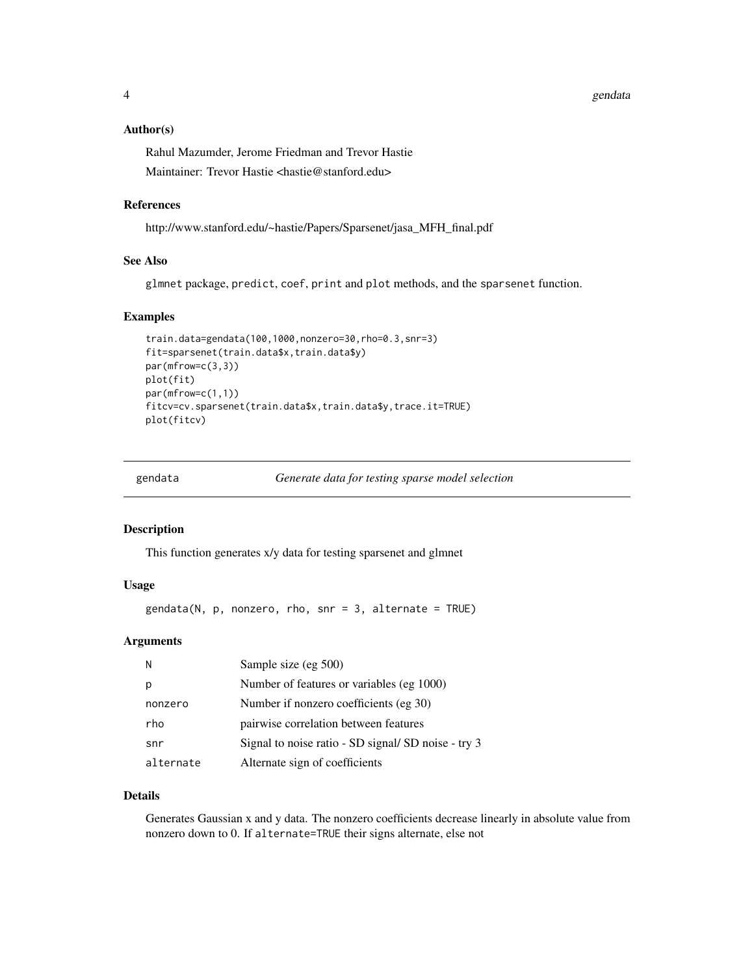#### <span id="page-3-0"></span>Author(s)

Rahul Mazumder, Jerome Friedman and Trevor Hastie

Maintainer: Trevor Hastie <hastie@stanford.edu>

#### References

http://www.stanford.edu/~hastie/Papers/Sparsenet/jasa\_MFH\_final.pdf

## See Also

glmnet package, predict, coef, print and plot methods, and the sparsenet function.

#### Examples

```
train.data=gendata(100,1000,nonzero=30,rho=0.3,snr=3)
fit=sparsenet(train.data$x,train.data$y)
par(mfrow=c(3,3))
plot(fit)
par(mfrow=c(1,1))
fitcv=cv.sparsenet(train.data$x,train.data$y,trace.it=TRUE)
plot(fitcv)
```
#### Description

This function generates x/y data for testing sparsenet and glmnet

## Usage

gendata(N, p, nonzero, rho, snr = 3, alternate = TRUE)

#### Arguments

| N         | Sample size (eg 500)                                |
|-----------|-----------------------------------------------------|
| p         | Number of features or variables (eg 1000)           |
| nonzero   | Number if nonzero coefficients (eg 30)              |
| rho       | pairwise correlation between features               |
| snr       | Signal to noise ratio - SD signal/ SD noise - try 3 |
| alternate | Alternate sign of coefficients                      |

#### Details

Generates Gaussian x and y data. The nonzero coefficients decrease linearly in absolute value from nonzero down to 0. If alternate=TRUE their signs alternate, else not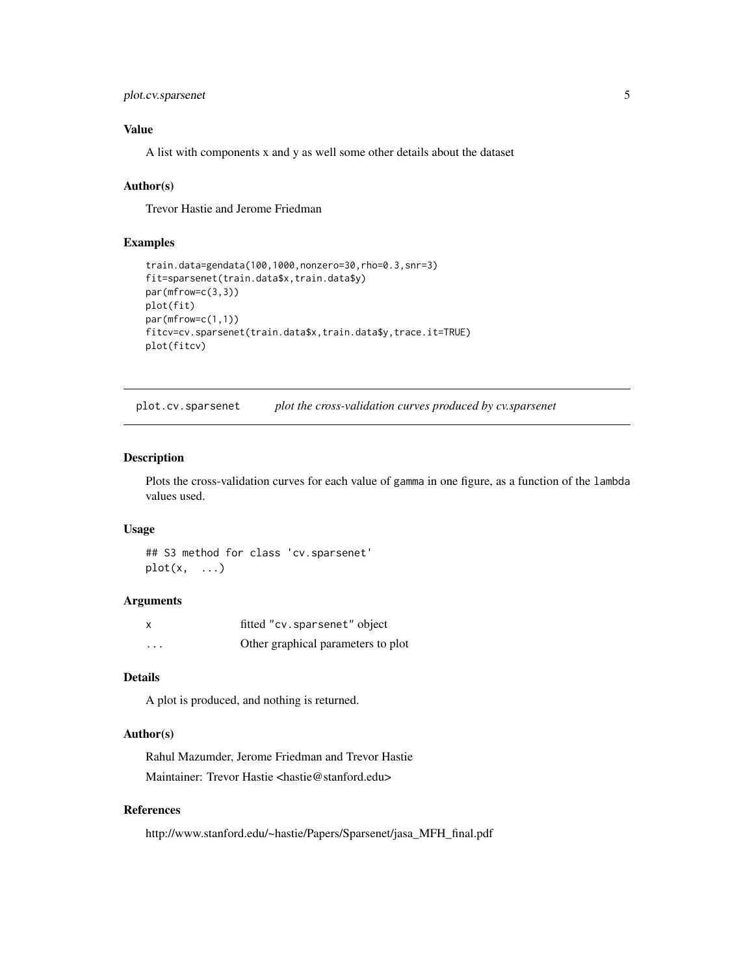```
plot.cv.sparsenet 5
```
## Value

A list with components x and y as well some other details about the dataset

#### Author(s)

Trevor Hastie and Jerome Friedman

## Examples

```
train.data=gendata(100,1000,nonzero=30,rho=0.3,snr=3)
fit=sparsenet(train.data$x,train.data$y)
par(mfrow=c(3,3))
plot(fit)
par(mfrow=c(1,1))
fitcv=cv.sparsenet(train.data$x,train.data$y,trace.it=TRUE)
plot(fitcv)
```
plot.cv.sparsenet *plot the cross-validation curves produced by cv.sparsenet*

#### Description

Plots the cross-validation curves for each value of gamma in one figure, as a function of the lambda values used.

#### Usage

```
## S3 method for class 'cv.sparsenet'
plot(x, \ldots)
```
#### Arguments

| X        | fitted "cv.sparsenet" object       |
|----------|------------------------------------|
| $\cdots$ | Other graphical parameters to plot |

## Details

A plot is produced, and nothing is returned.

#### Author(s)

Rahul Mazumder, Jerome Friedman and Trevor Hastie Maintainer: Trevor Hastie <hastie@stanford.edu>

## References

http://www.stanford.edu/~hastie/Papers/Sparsenet/jasa\_MFH\_final.pdf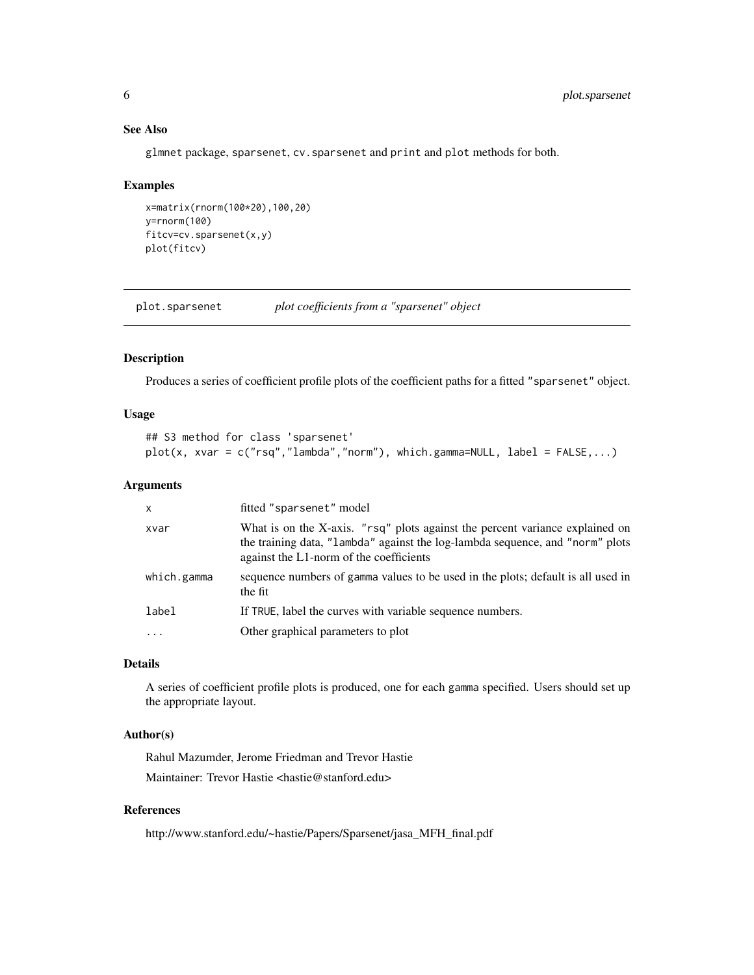## See Also

glmnet package, sparsenet, cv.sparsenet and print and plot methods for both.

#### Examples

```
x=matrix(rnorm(100*20),100,20)
y=rnorm(100)
fitcv=cv.sparsenet(x,y)
plot(fitcv)
```
plot.sparsenet *plot coefficients from a "sparsenet" object*

## Description

Produces a series of coefficient profile plots of the coefficient paths for a fitted "sparsenet" object.

## Usage

```
## S3 method for class 'sparsenet'
plot(x, xvar = c("rsq", "lambda", "norm"), which. gamma=NULL, label = FALSE, ...)
```
#### Arguments

| $\times$    | fitted "sparsenet" model                                                                                                                                                                                 |
|-------------|----------------------------------------------------------------------------------------------------------------------------------------------------------------------------------------------------------|
| xvar        | What is on the X-axis. "rsq" plots against the percent variance explained on<br>the training data, "lambda" against the log-lambda sequence, and "norm" plots<br>against the L1-norm of the coefficients |
| which.gamma | sequence numbers of gamma values to be used in the plots; default is all used in<br>the fit                                                                                                              |
| label       | If TRUE, label the curves with variable sequence numbers.                                                                                                                                                |
| .           | Other graphical parameters to plot                                                                                                                                                                       |
|             |                                                                                                                                                                                                          |

## Details

A series of coefficient profile plots is produced, one for each gamma specified. Users should set up the appropriate layout.

#### Author(s)

Rahul Mazumder, Jerome Friedman and Trevor Hastie Maintainer: Trevor Hastie <hastie@stanford.edu>

## References

http://www.stanford.edu/~hastie/Papers/Sparsenet/jasa\_MFH\_final.pdf

<span id="page-5-0"></span>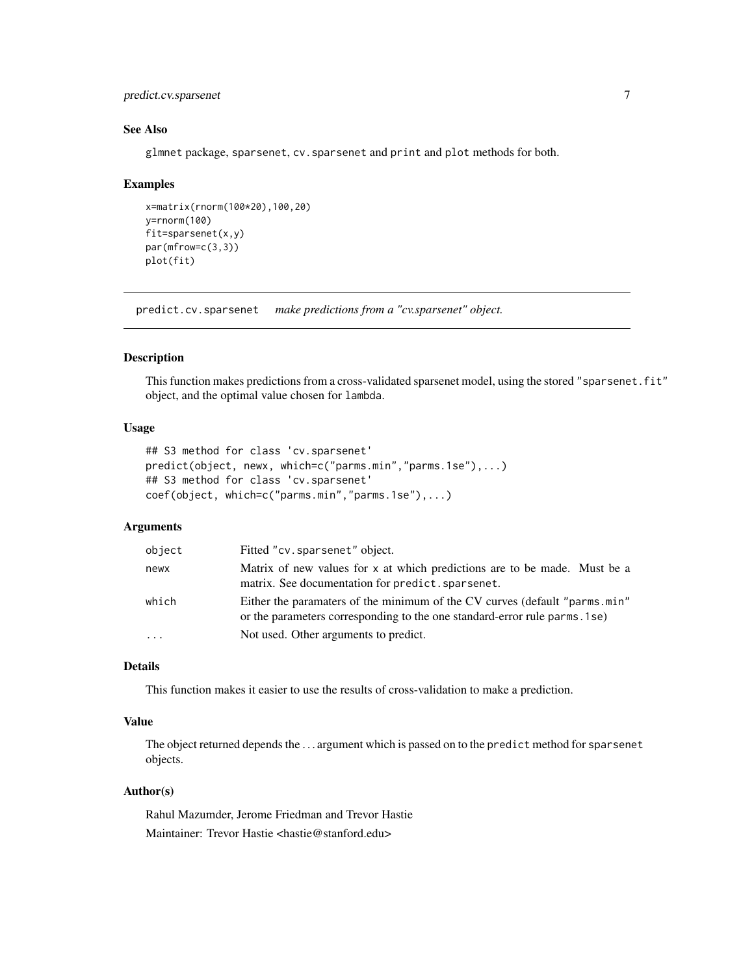## <span id="page-6-0"></span>predict.cv.sparsenet 7

## See Also

glmnet package, sparsenet, cv.sparsenet and print and plot methods for both.

#### Examples

```
x=matrix(rnorm(100*20),100,20)
y=rnorm(100)
fit=sparsenet(x,y)
par(mfrow=c(3,3))
plot(fit)
```
predict.cv.sparsenet *make predictions from a "cv.sparsenet" object.*

## Description

This function makes predictions from a cross-validated sparsenet model, using the stored "sparsenet.fit" object, and the optimal value chosen for lambda.

## Usage

```
## S3 method for class 'cv.sparsenet'
predict(object, newx, which=c("parms.min","parms.1se"),...)
## S3 method for class 'cv.sparsenet'
coef(object, which=c("parms.min","parms.1se"),...)
```
## Arguments

| object   | Fitted "cv.sparsenet" object.                                                                                                                            |
|----------|----------------------------------------------------------------------------------------------------------------------------------------------------------|
| newx     | Matrix of new values for x at which predictions are to be made. Must be a<br>matrix. See documentation for predict. sparsenet.                           |
| which    | Either the paramaters of the minimum of the CV curves (default "parms.min"<br>or the parameters corresponding to the one standard-error rule parms. 1se) |
| $\cdots$ | Not used. Other arguments to predict.                                                                                                                    |

#### Details

This function makes it easier to use the results of cross-validation to make a prediction.

#### Value

The object returned depends the . . . argument which is passed on to the predict method for sparsenet objects.

#### Author(s)

Rahul Mazumder, Jerome Friedman and Trevor Hastie Maintainer: Trevor Hastie <hastie@stanford.edu>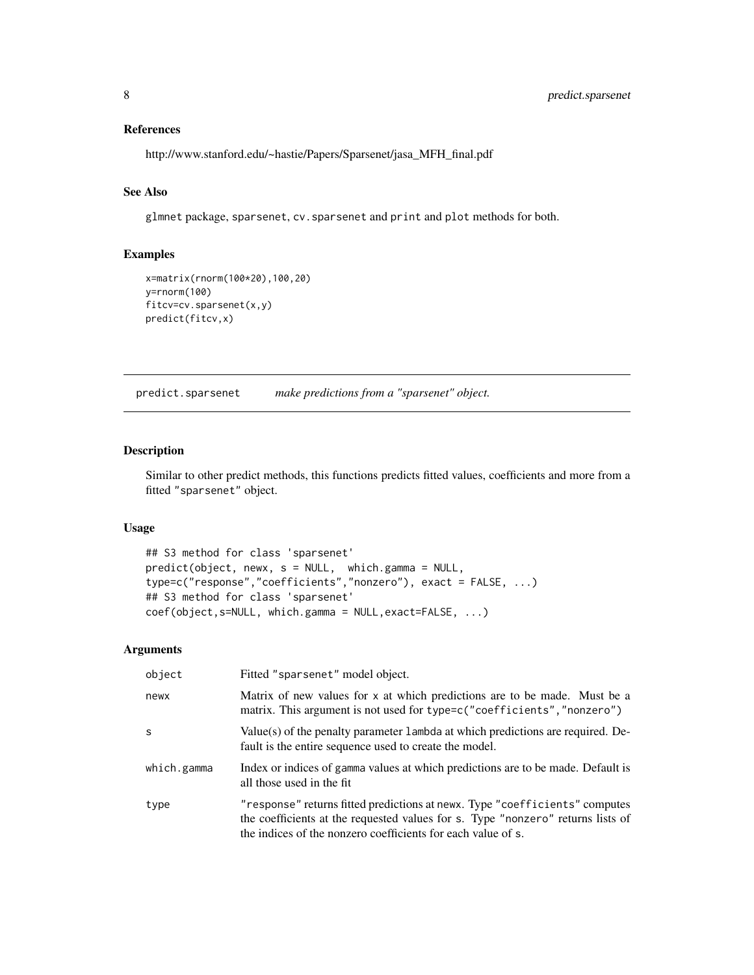## References

http://www.stanford.edu/~hastie/Papers/Sparsenet/jasa\_MFH\_final.pdf

## See Also

glmnet package, sparsenet, cv.sparsenet and print and plot methods for both.

## Examples

```
x=matrix(rnorm(100*20),100,20)
y=rnorm(100)
fitcv=cv.sparsenet(x,y)
predict(fitcv,x)
```
predict.sparsenet *make predictions from a "sparsenet" object.*

#### Description

Similar to other predict methods, this functions predicts fitted values, coefficients and more from a fitted "sparsenet" object.

## Usage

```
## S3 method for class 'sparsenet'
predict(object, newx, s = NULL, which.gamma = NULL,
type=c("response","coefficients","nonzero"), exact = FALSE, ...)
## S3 method for class 'sparsenet'
coef(object,s=NULL, which.gamma = NULL,exact=FALSE, ...)
```
## Arguments

| object       | Fitted "sparsenet" model object.                                                                                                                                                                                               |
|--------------|--------------------------------------------------------------------------------------------------------------------------------------------------------------------------------------------------------------------------------|
| newx         | Matrix of new values for x at which predictions are to be made. Must be a<br>matrix. This argument is not used for type=c("coefficients", "nonzero")                                                                           |
| <sub>S</sub> | Value(s) of the penalty parameter 1 ambda at which predictions are required. De-<br>fault is the entire sequence used to create the model.                                                                                     |
| which.gamma  | Index or indices of gamma values at which predictions are to be made. Default is<br>all those used in the fit                                                                                                                  |
| type         | "response" returns fitted predictions at newx. Type "coefficients" computes<br>the coefficients at the requested values for s. Type "nonzero" returns lists of<br>the indices of the nonzero coefficients for each value of s. |

<span id="page-7-0"></span>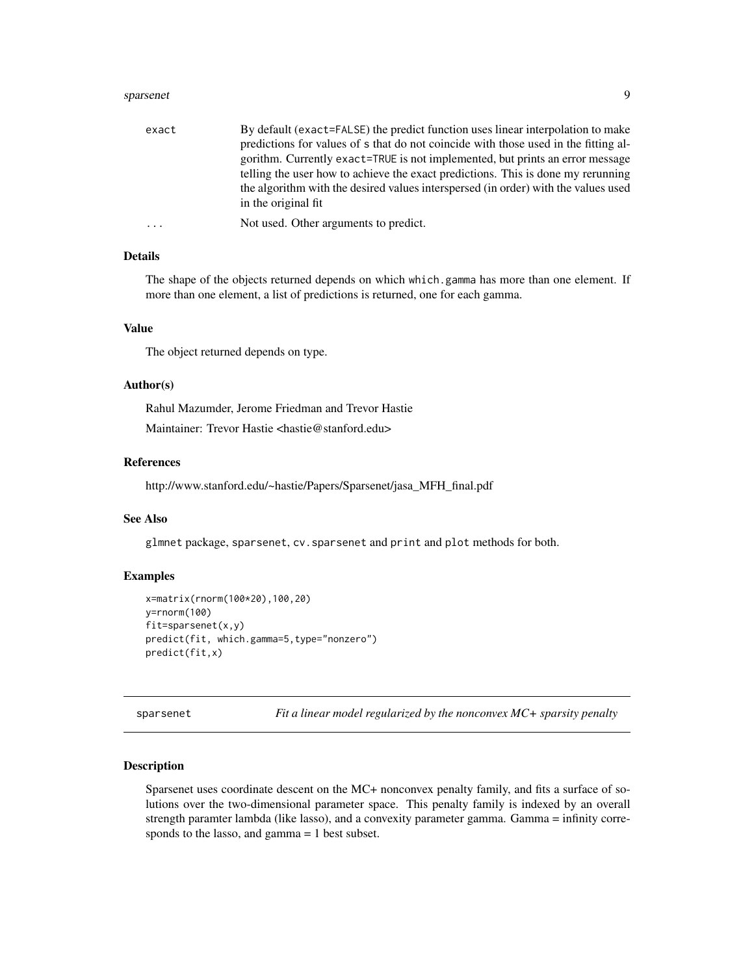#### <span id="page-8-0"></span>sparsenet 9

| exact    | By default (exact=FALSE) the predict function uses linear interpolation to make     |
|----------|-------------------------------------------------------------------------------------|
|          | predictions for values of s that do not coincide with those used in the fitting al- |
|          | gorithm. Currently exact=TRUE is not implemented, but prints an error message       |
|          | telling the user how to achieve the exact predictions. This is done my rerunning    |
|          | the algorithm with the desired values interspersed (in order) with the values used  |
|          | in the original fit.                                                                |
| $\cdots$ | Not used. Other arguments to predict.                                               |

## Details

The shape of the objects returned depends on which which.gamma has more than one element. If more than one element, a list of predictions is returned, one for each gamma.

#### Value

The object returned depends on type.

#### Author(s)

Rahul Mazumder, Jerome Friedman and Trevor Hastie Maintainer: Trevor Hastie <hastie@stanford.edu>

#### References

http://www.stanford.edu/~hastie/Papers/Sparsenet/jasa\_MFH\_final.pdf

#### See Also

glmnet package, sparsenet, cv.sparsenet and print and plot methods for both.

## Examples

```
x=matrix(rnorm(100*20),100,20)
y=rnorm(100)
fit=sparsenet(x,y)
predict(fit, which.gamma=5,type="nonzero")
predict(fit,x)
```
sparsenet *Fit a linear model regularized by the nonconvex MC+ sparsity penalty*

#### Description

Sparsenet uses coordinate descent on the MC+ nonconvex penalty family, and fits a surface of solutions over the two-dimensional parameter space. This penalty family is indexed by an overall strength paramter lambda (like lasso), and a convexity parameter gamma. Gamma = infinity corresponds to the lasso, and gamma = 1 best subset.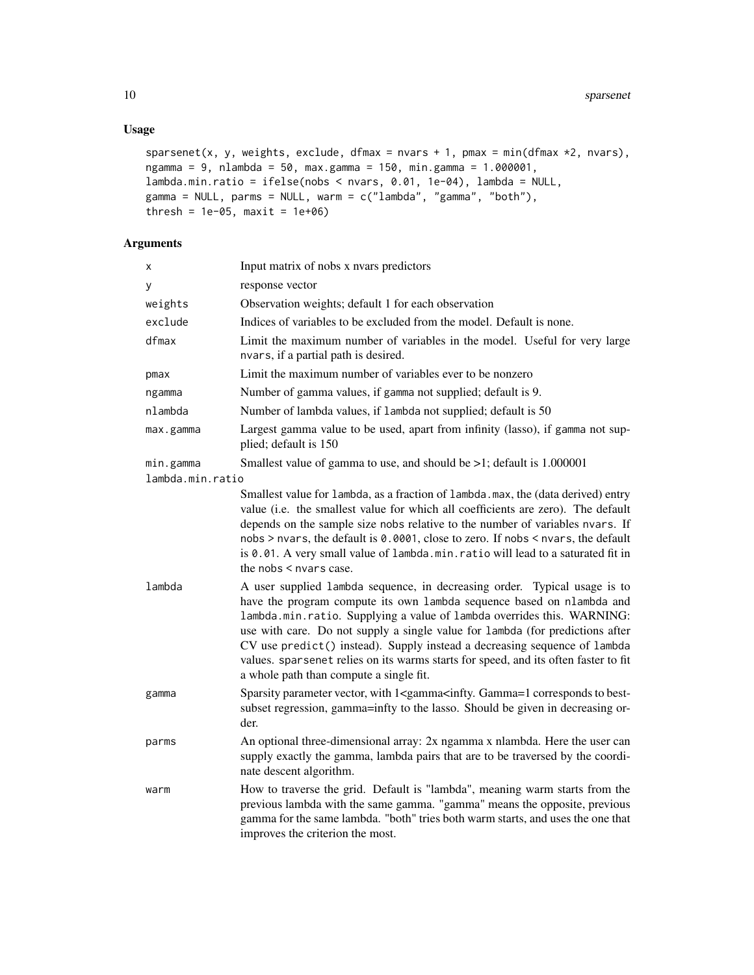## Usage

```
sparsenet(x, y, weights, exclude, dfmax = nvars + 1, pmax = min(dfmax *2, nvars),
ngamma = 9, nlambda = 50, max.gamma = 150, min.gamma = 1.000001,
lambda.min.ratio = ifelse(nobs < nvars, 0.01, 1e-04), lambda = NULL,
gamma = NULL, parms = NULL, warm = c("lambda", "gamma", "both"),
thresh = 1e-05, maxit = 1e+06)
```
## Arguments

| X                | Input matrix of nobs x nvars predictors                                                                                                                                                                                                                                                                                                                                                                                                                                                                                      |
|------------------|------------------------------------------------------------------------------------------------------------------------------------------------------------------------------------------------------------------------------------------------------------------------------------------------------------------------------------------------------------------------------------------------------------------------------------------------------------------------------------------------------------------------------|
| у                | response vector                                                                                                                                                                                                                                                                                                                                                                                                                                                                                                              |
| weights          | Observation weights; default 1 for each observation                                                                                                                                                                                                                                                                                                                                                                                                                                                                          |
| exclude          | Indices of variables to be excluded from the model. Default is none.                                                                                                                                                                                                                                                                                                                                                                                                                                                         |
| dfmax            | Limit the maximum number of variables in the model. Useful for very large<br>nvars, if a partial path is desired.                                                                                                                                                                                                                                                                                                                                                                                                            |
| pmax             | Limit the maximum number of variables ever to be nonzero                                                                                                                                                                                                                                                                                                                                                                                                                                                                     |
| ngamma           | Number of gamma values, if gamma not supplied; default is 9.                                                                                                                                                                                                                                                                                                                                                                                                                                                                 |
| nlambda          | Number of lambda values, if lambda not supplied; default is 50                                                                                                                                                                                                                                                                                                                                                                                                                                                               |
| max.gamma        | Largest gamma value to be used, apart from infinity (lasso), if gamma not sup-<br>plied; default is 150                                                                                                                                                                                                                                                                                                                                                                                                                      |
| min.gamma        | Smallest value of gamma to use, and should be $>1$ ; default is 1.000001                                                                                                                                                                                                                                                                                                                                                                                                                                                     |
| lambda.min.ratio |                                                                                                                                                                                                                                                                                                                                                                                                                                                                                                                              |
|                  | Smallest value for lambda, as a fraction of lambda.max, the (data derived) entry<br>value (i.e. the smallest value for which all coefficients are zero). The default<br>depends on the sample size nobs relative to the number of variables nvars. If<br>nobs > nvars, the default is 0.0001, close to zero. If nobs < nvars, the default<br>is 0.01. A very small value of lambda.min.ratio will lead to a saturated fit in<br>the nobs $\leq$ nvars case.                                                                  |
| lambda           | A user supplied lambda sequence, in decreasing order. Typical usage is to<br>have the program compute its own lambda sequence based on nlambda and<br>lambda.min.ratio. Supplying a value of lambda overrides this. WARNING:<br>use with care. Do not supply a single value for lambda (for predictions after<br>CV use predict() instead). Supply instead a decreasing sequence of lambda<br>values. sparsenet relies on its warms starts for speed, and its often faster to fit<br>a whole path than compute a single fit. |
| gamma            | Sparsity parameter vector, with 1 <gamma<infty. best-<br="" corresponds="" gamma="1" to="">subset regression, gamma=infty to the lasso. Should be given in decreasing or-<br/>der.</gamma<infty.>                                                                                                                                                                                                                                                                                                                            |
| parms            | An optional three-dimensional array: 2x ngamma x nlambda. Here the user can<br>supply exactly the gamma, lambda pairs that are to be traversed by the coordi-<br>nate descent algorithm.                                                                                                                                                                                                                                                                                                                                     |
| warm             | How to traverse the grid. Default is "lambda", meaning warm starts from the<br>previous lambda with the same gamma. "gamma" means the opposite, previous<br>gamma for the same lambda. "both" tries both warm starts, and uses the one that<br>improves the criterion the most.                                                                                                                                                                                                                                              |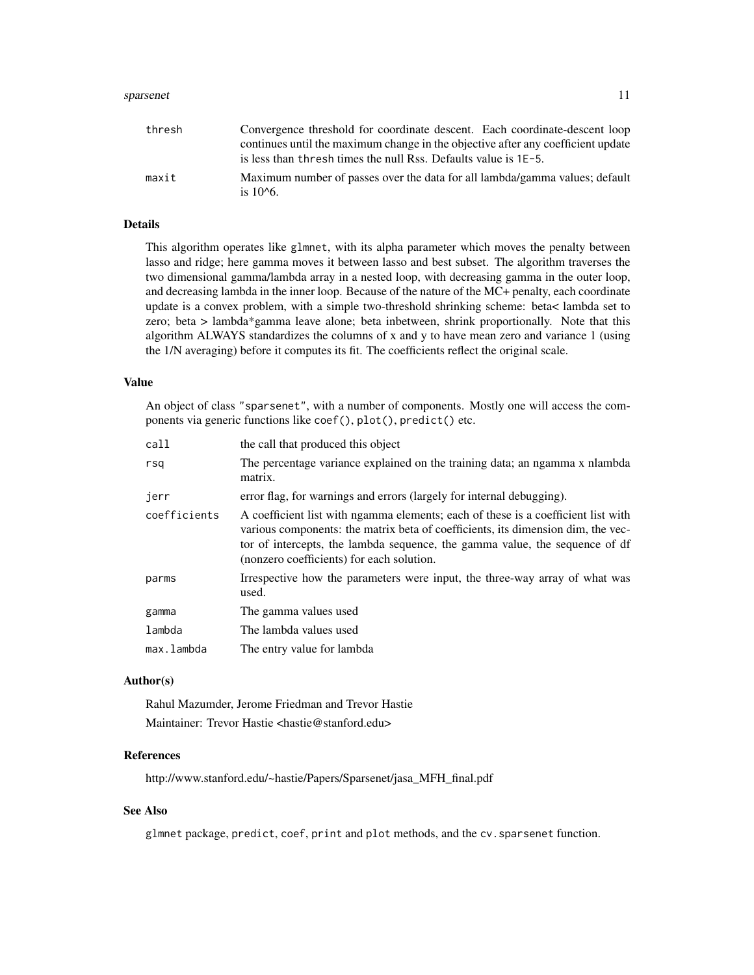#### sparsenet the contract of the sparsenet of the sparsenet of the sparsenet of the sparsenet of the sparsenet of the sparsenet of the sparsenet of the sparsenet of the sparsenet of the sparsenet of the sparsenet of the spars

| thresh | Convergence threshold for coordinate descent. Each coordinate-descent loop       |
|--------|----------------------------------------------------------------------------------|
|        | continues until the maximum change in the objective after any coefficient update |
|        | is less than thresh times the null Rss. Defaults value is 1E-5.                  |
| maxit  | Maximum number of passes over the data for all lambda/gamma values; default      |
|        | is $10^{6}$ .                                                                    |

#### Details

This algorithm operates like glmnet, with its alpha parameter which moves the penalty between lasso and ridge; here gamma moves it between lasso and best subset. The algorithm traverses the two dimensional gamma/lambda array in a nested loop, with decreasing gamma in the outer loop, and decreasing lambda in the inner loop. Because of the nature of the MC+ penalty, each coordinate update is a convex problem, with a simple two-threshold shrinking scheme: beta< lambda set to zero; beta > lambda\*gamma leave alone; beta inbetween, shrink proportionally. Note that this algorithm ALWAYS standardizes the columns of x and y to have mean zero and variance 1 (using the 1/N averaging) before it computes its fit. The coefficients reflect the original scale.

#### Value

An object of class "sparsenet", with a number of components. Mostly one will access the components via generic functions like coef(), plot(), predict() etc.

| call         | the call that produced this object                                                                                                                                                                                                                                                                |
|--------------|---------------------------------------------------------------------------------------------------------------------------------------------------------------------------------------------------------------------------------------------------------------------------------------------------|
| rsa          | The percentage variance explained on the training data; an ngamma x nlambda<br>matrix.                                                                                                                                                                                                            |
| jerr         | error flag, for warnings and errors (largely for internal debugging).                                                                                                                                                                                                                             |
| coefficients | A coefficient list with ngamma elements; each of these is a coefficient list with<br>various components: the matrix beta of coefficients, its dimension dim, the vec-<br>tor of intercepts, the lambda sequence, the gamma value, the sequence of df<br>(nonzero coefficients) for each solution. |
| parms        | Irrespective how the parameters were input, the three-way array of what was<br>used.                                                                                                                                                                                                              |
| gamma        | The gamma values used                                                                                                                                                                                                                                                                             |
| lambda       | The lambda values used                                                                                                                                                                                                                                                                            |
| max.lambda   | The entry value for lambda                                                                                                                                                                                                                                                                        |

## Author(s)

Rahul Mazumder, Jerome Friedman and Trevor Hastie Maintainer: Trevor Hastie <hastie@stanford.edu>

## References

http://www.stanford.edu/~hastie/Papers/Sparsenet/jasa\_MFH\_final.pdf

#### See Also

glmnet package, predict, coef, print and plot methods, and the cv.sparsenet function.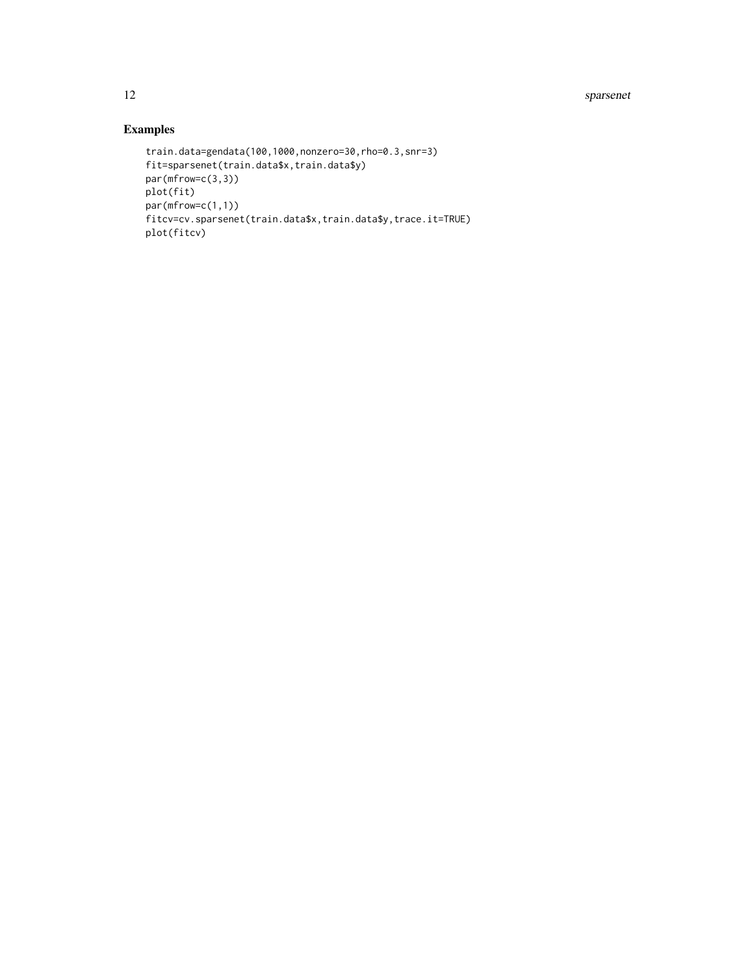12 sparsenet

## Examples

```
train.data=gendata(100,1000,nonzero=30,rho=0.3,snr=3)
fit=sparsenet(train.data$x,train.data$y)
par(mfrow=c(3,3))
plot(fit)
par(mfrow=c(1,1))
fitcv=cv.sparsenet(train.data$x,train.data$y,trace.it=TRUE)
plot(fitcv)
```